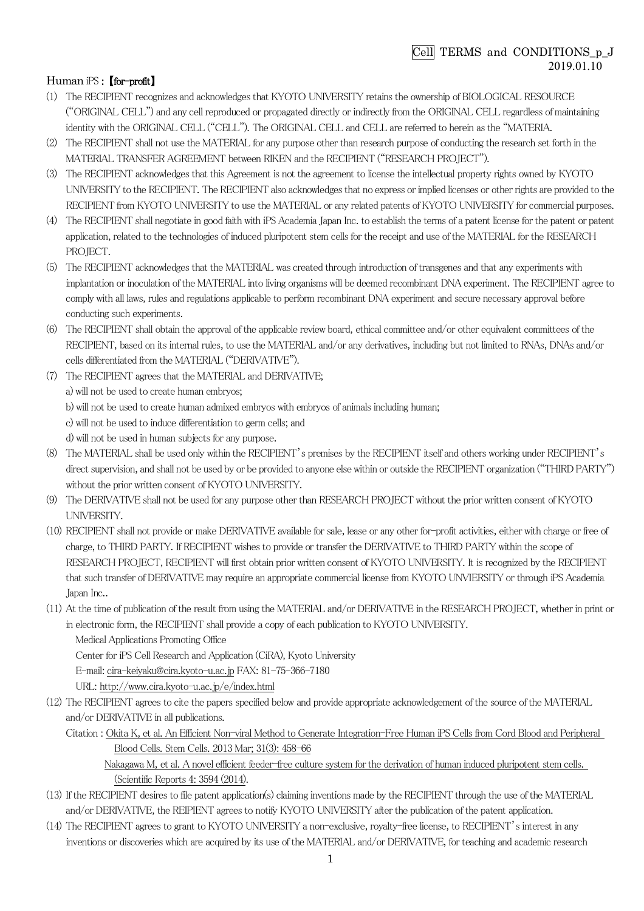## Cell TERMS and CONDITIONS\_p\_J 2019.01.10

## Human iPS : *[for-profit]*

- (1) The RECIPIENT recognizes and acknowledges that KYOTO UNIVERSITY retains the ownership of BIOLOGICAL RESOURCE ("O㻾IGINAL CELL") and any cell reproduced or propagated directly or indirectly from the O㻾IGINAL CELL regardless of maintaining identity with the ORIGINAL CELL ("CELL"). The ORIGINAL CELL and CELL are referred to herein as the "MATERIA.
- (2) The RECIPIENT shall not use the MATERIAL for any purpose other than research purpose of conducting the research set forth in the MATERIAL TRANSFER AGREEMENT between RIKEN and the RECIPIENT ("RESEARCH PROJECT").
- (3) The RECIPIENT acknowledges that this Agreement is not the agreement to license the intellectual property rights owned by KYOTO UNIVERSITY to the RECIPIENT. The RECIPIENT also acknowledges that no express or implied licenses or other rights are provided to the RECIPIENT from KYOTO UNIVERSITY to use the MATERIAL or any related patents of KYOTO UNIVERSITY for commercial purposes.
- (4) 㼀he 㻾ECIPIEN㼀 shall negotiate in good faith with iP㻿 Academia Japan Inc. to establish the terms of a patent license for the patent or patent application, related to the technologies of induced pluripotent stem cells for the receipt and use of the MATERIAL for the RESEARCH PROJECT.
- (5) The RECIPIENT acknowledges that the MATERIAL was created through introduction of transgenes and that any experiments with implantation or inoculation of the MATERIAL into living organisms will be deemed recombinant DNA experiment. The RECIPIENT agree to comply with all laws, rules and regulations applicable to perform recombinant DNA experiment and secure necessary approval before conducting such experiments.
- (6) The RECIPIENT shall obtain the approval of the applicable review board, ethical committee and/or other equivalent committees of the RECIPIENT, based on its internal rules, to use the MATERIAL and/or any derivatives, including but not limited to RNAs, DNAs and/or cells differentiated from the MATERIAL ("DERIVATIVE").
- (7) The RECIPIENT agrees that the MATERIAL and DERIVATIVE; a) will not be used to create human embryos; b) will not be used to create human admixed embryos with embryos of animals including human; c) will not be used to induce differentiation to germ cells; and d) will not be used in human subjects for any purpose.
- (8) The MATERIAL shall be used only within the RECIPIENT's premises by the RECIPIENT itself and others working under RECIPIENT's direct supervision, and shall not be used by or be provided to anyone else within or outside the RECIPIENT organization ("THIRD PARTY") without the prior written consent of KYOTO UNIVERSITY.
- (9) The DERIVATIVE shall not be used for any purpose other than RESEARCH PROJECT without the prior written consent of KYOTO UNIVERSITY.
- (10) RECIPIENT shall not provide or make DERIVATIVE available for sale, lease or any other for-profit activities, either with charge or free of charge, to THIRD PARTY. If RECIPIENT wishes to provide or transfer the DERIVATIVE to THIRD PARTY within the scope of RESEARCH PROJECT, RECIPIENT will first obtain prior written consent of KYOTO UNIVERSITY. It is recognized by the RECIPIENT that such transfer of DERIVATIVE may require an appropriate commercial license from KYOTO UNVIERSITY or through iPS Academia Japan Inc..
- (11) At the time of publication of the result from using the MATERIAL and/or DERIVATIVE in the RESEARCH PROJECT, whether in print or in electronic form, the RECIPIENT shall provide a copy of each publication to KYOTO UNIVERSITY.

Medical Applications Promoting Office

Center for iPS Cell Research and Application (CiRA), Kyoto University

E-mail: cira-keiyaku@cira.kyoto-u.ac.jp FAX: 81-75-366-7180

URL: http://www.cira.kyoto-u.ac.jp/e/index.html

- (12) The RECIPIENT agrees to cite the papers specified below and provide appropriate acknowledgement of the source of the MATERIAL and/or DERIVATIVE in all publications.
	- Citation : Okita K, et al. An Efficient Non-viral Method to Generate Integration-Free Human iPS Cells from Cord Blood and Peripheral Blood Cells. 㻿tem Cells. 2013 Mar; 31(3): 458-66

Nakagawa M, et al. A novel efficient feeder-free culture system for the derivation of human induced pluripotent stem cells. (Scientific Reports 4: 3594 (2014).

- (13) If the RECIPIENT desires to file patent application(s) claiming inventions made by the RECIPIENT through the use of the MATERIAL and/or DERIVATIVE, the REIPIENT agrees to notify KYOTO UNIVERSITY after the publication of the patent application.
- (14) The RECIPIENT agrees to grant to KYOTO UNIVERSITY a non-exclusive, royalty-free license, to RECIPIENT's interest in any inventions or discoveries which are acquired by its use of the MATERIAL and/or DERIVATIVE, for teaching and academic research